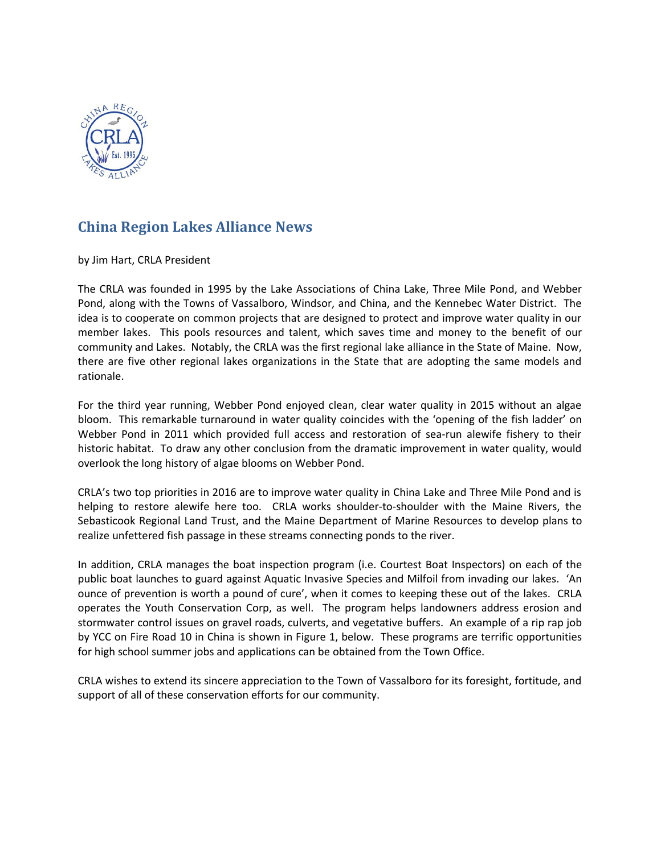

## **China Region Lakes Alliance News**

by Jim Hart, CRLA President

The CRLA was founded in 1995 by the Lake Associations of China Lake, Three Mile Pond, and Webber Pond, along with the Towns of Vassalboro, Windsor, and China, and the Kennebec Water District. The idea is to cooperate on common projects that are designed to protect and improve water quality in our member lakes. This pools resources and talent, which saves time and money to the benefit of our community and Lakes. Notably, the CRLA was the first regional lake alliance in the State of Maine. Now, there are five other regional lakes organizations in the State that are adopting the same models and rationale.

For the third year running, Webber Pond enjoyed clean, clear water quality in 2015 without an algae bloom. This remarkable turnaround in water quality coincides with the 'opening of the fish ladder' on Webber Pond in 2011 which provided full access and restoration of sea-run alewife fishery to their historic habitat. To draw any other conclusion from the dramatic improvement in water quality, would overlook the long history of algae blooms on Webber Pond.

CRLA's two top priorities in 2016 are to improve water quality in China Lake and Three Mile Pond and is helping to restore alewife here too. CRLA works shoulder-to-shoulder with the Maine Rivers, the Sebasticook Regional Land Trust, and the Maine Department of Marine Resources to develop plans to realize unfettered fish passage in these streams connecting ponds to the river.

In addition, CRLA manages the boat inspection program (i.e. Courtest Boat Inspectors) on each of the public boat launches to guard against Aquatic Invasive Species and Milfoil from invading our lakes. 'An ounce of prevention is worth a pound of cure', when it comes to keeping these out of the lakes. CRLA operates the Youth Conservation Corp, as well. The program helps landowners address erosion and stormwater control issues on gravel roads, culverts, and vegetative buffers. An example of a rip rap job by YCC on Fire Road 10 in China is shown in Figure 1, below. These programs are terrific opportunities for high school summer jobs and applications can be obtained from the Town Office.

CRLA wishes to extend its sincere appreciation to the Town of Vassalboro for its foresight, fortitude, and support of all of these conservation efforts for our community.